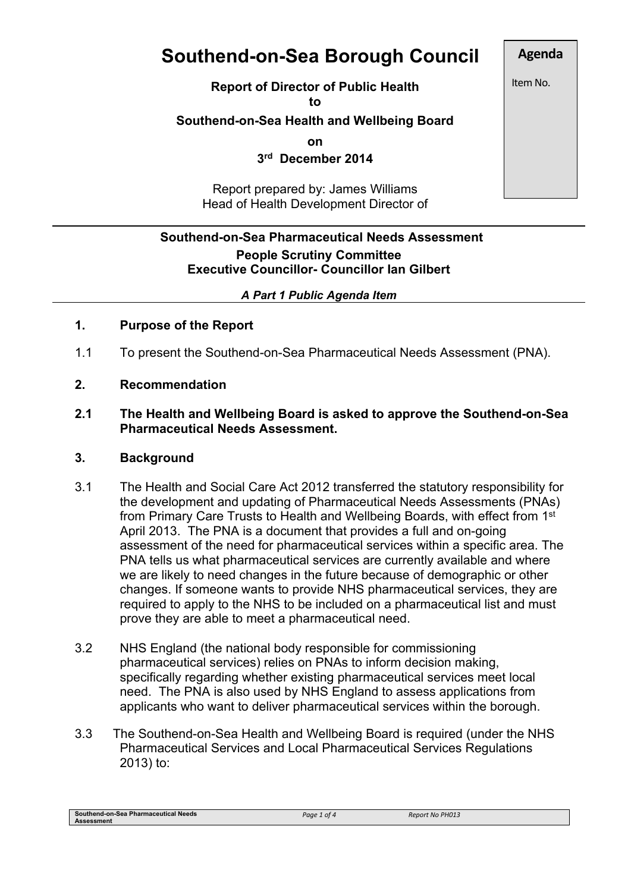# **Southend-on-Sea Borough Council**

**Report of Director of Public Health**

**to**

# **Southend-on-Sea Health and Wellbeing Board**

**on**

**3 rd December 2014**

Report prepared by: James Williams Head of Health Development Director of

# **Southend-on-Sea Pharmaceutical Needs Assessment People Scrutiny Committee Executive Councillor- Councillor Ian Gilbert**

#### *A Part 1 Public Agenda Item*

# **1. Purpose of the Report**

- 1.1 To present the Southend-on-Sea Pharmaceutical Needs Assessment (PNA).
- **2. Recommendation**

#### **2.1 The Health and Wellbeing Board is asked to approve the Southend-on-Sea Pharmaceutical Needs Assessment.**

#### **3. Background**

- 3.1 The Health and Social Care Act 2012 transferred the statutory responsibility for the development and updating of Pharmaceutical Needs Assessments (PNAs) from Primary Care Trusts to Health and Wellbeing Boards, with effect from 1<sup>st</sup> April 2013. The PNA is a document that provides a full and on-going assessment of the need for pharmaceutical services within a specific area. The PNA tells us what pharmaceutical services are currently available and where we are likely to need changes in the future because of demographic or other changes. If someone wants to provide NHS pharmaceutical services, they are required to apply to the NHS to be included on a pharmaceutical list and must prove they are able to meet a pharmaceutical need.
- 3.2 NHS England (the national body responsible for commissioning pharmaceutical services) relies on PNAs to inform decision making, specifically regarding whether existing pharmaceutical services meet local need. The PNA is also used by NHS England to assess applications from applicants who want to deliver pharmaceutical services within the borough.
- 3.3 The Southend-on-Sea Health and Wellbeing Board is required (under the NHS Pharmaceutical Services and Local Pharmaceutical Services Regulations 2013) to:

**Southend-on-Sea Pharmaceutical Needs Assessment**

**Agenda** Item No.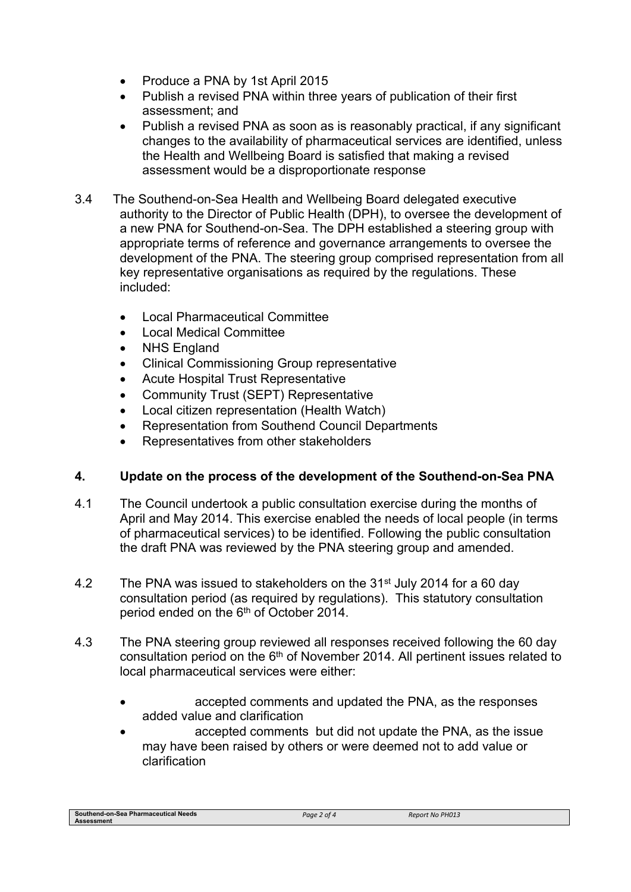- Produce a PNA by 1st April 2015
- Publish a revised PNA within three years of publication of their first assessment; and
- Publish a revised PNA as soon as is reasonably practical, if any significant changes to the availability of pharmaceutical services are identified, unless the Health and Wellbeing Board is satisfied that making a revised assessment would be a disproportionate response
- 3.4 The Southend-on-Sea Health and Wellbeing Board delegated executive authority to the Director of Public Health (DPH), to oversee the development of a new PNA for Southend-on-Sea. The DPH established a steering group with appropriate terms of reference and governance arrangements to oversee the development of the PNA. The steering group comprised representation from all key representative organisations as required by the regulations. These included:
	- Local Pharmaceutical Committee
	- Local Medical Committee
	- NHS England
	- Clinical Commissioning Group representative
	- Acute Hospital Trust Representative
	- Community Trust (SEPT) Representative
	- Local citizen representation (Health Watch)
	- Representation from Southend Council Departments
	- Representatives from other stakeholders

#### **4. Update on the process of the development of the Southend-on-Sea PNA**

- 4.1 The Council undertook a public consultation exercise during the months of April and May 2014. This exercise enabled the needs of local people (in terms of pharmaceutical services) to be identified. Following the public consultation the draft PNA was reviewed by the PNA steering group and amended.
- 4.2 The PNA was issued to stakeholders on the 31<sup>st</sup> July 2014 for a 60 day consultation period (as required by regulations). This statutory consultation period ended on the 6<sup>th</sup> of October 2014.
- 4.3 The PNA steering group reviewed all responses received following the 60 day consultation period on the  $6<sup>th</sup>$  of November 2014. All pertinent issues related to local pharmaceutical services were either:
	- accepted comments and updated the PNA, as the responses added value and clarification
	- accepted comments but did not update the PNA, as the issue may have been raised by others or were deemed not to add value or clarification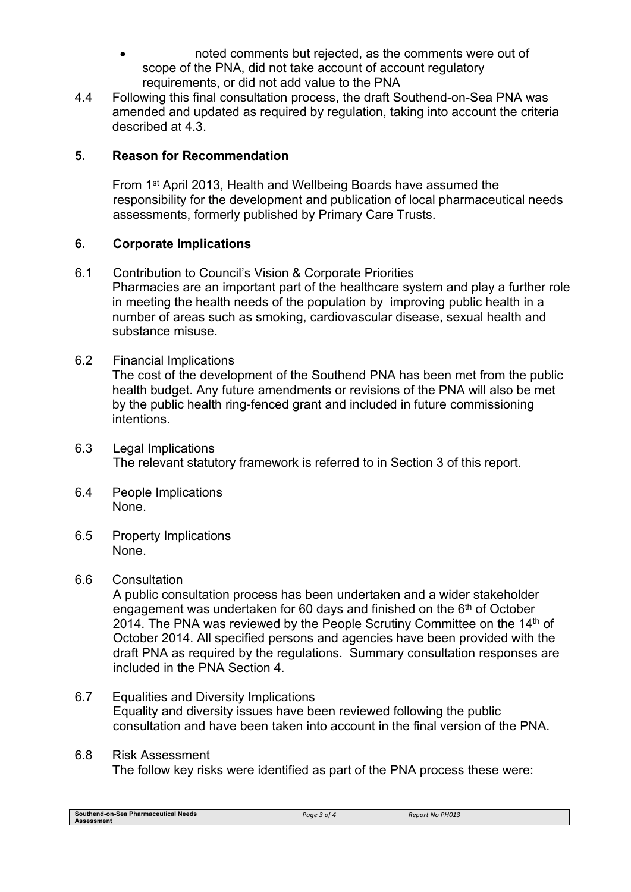- noted comments but rejected, as the comments were out of scope of the PNA, did not take account of account regulatory requirements, or did not add value to the PNA
- 4.4 Following this final consultation process, the draft Southend-on-Sea PNA was amended and updated as required by regulation, taking into account the criteria described at 4.3.

# **5. Reason for Recommendation**

From 1<sup>st</sup> April 2013, Health and Wellbeing Boards have assumed the responsibility for the development and publication of local pharmaceutical needs assessments, formerly published by Primary Care Trusts.

# **6. Corporate Implications**

- 6.1 Contribution to Council's Vision & Corporate Priorities Pharmacies are an important part of the healthcare system and play a further role in meeting the health needs of the population by improving public health in a number of areas such as smoking, cardiovascular disease, sexual health and substance misuse.
- 6.2 Financial Implications

The cost of the development of the Southend PNA has been met from the public health budget. Any future amendments or revisions of the PNA will also be met by the public health ring-fenced grant and included in future commissioning intentions.

- 6.3 Legal Implications The relevant statutory framework is referred to in Section 3 of this report.
- 6.4 People Implications None.
- 6.5 Property Implications None.

#### 6.6 Consultation

A public consultation process has been undertaken and a wider stakeholder engagement was undertaken for 60 days and finished on the 6<sup>th</sup> of October 2014. The PNA was reviewed by the People Scrutiny Committee on the  $14<sup>th</sup>$  of October 2014. All specified persons and agencies have been provided with the draft PNA as required by the regulations. Summary consultation responses are included in the PNA Section 4.

- 6.7 Equalities and Diversity Implications Equality and diversity issues have been reviewed following the public consultation and have been taken into account in the final version of the PNA.
- 6.8 Risk Assessment The follow key risks were identified as part of the PNA process these were:

**Southend-on-Sea Pharmaceutical Needs Assessment**